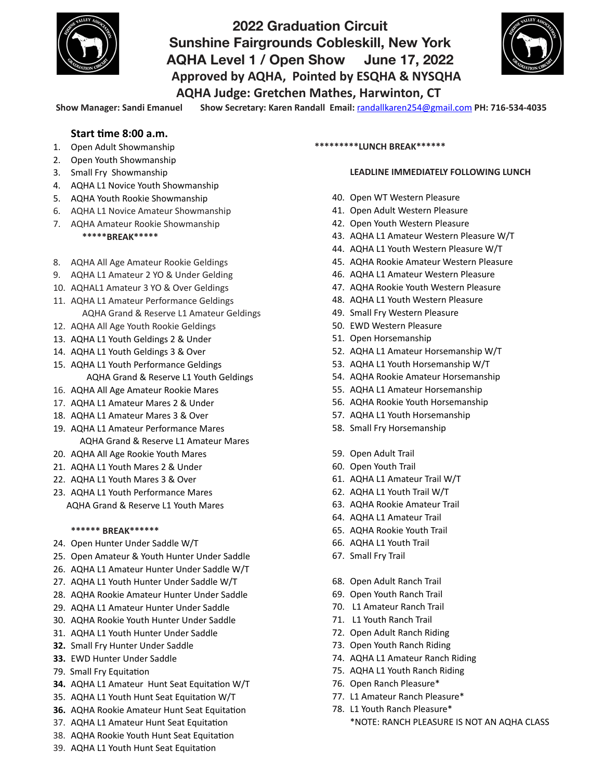

# **2022 Graduation Circuit Sunshine Fairgrounds Cobleskill, New York AQHA Level 1 / Open Show June 17, 2022**  Approved by AQHA, Pointed by ESQHA & NYSQHA **AQHA Judge: Gretchen Mathes, Harwinton, CT**



Show Manager: Sandi Emanuel Show Secretary: Karen Randall Email: [randallkaren254@gmail.com](mailto:randallkaren254@gmail.com) PH: 716-534-4035

### **Start time 8:00 a.m.**

- 1. Open Adult Showmanship
- 2. Open Youth Showmanship
- 3. Small Fry Showmanship
- 4. AQHA L1 Novice Youth Showmanship
- 5. AQHA Youth Rookie Showmanship
- 6. AQHA L1 Novice Amateur Showmanship
- 7. AQHA Amateur Rookie Showmanship  **\*\*\*\*\*BREAK\*\*\*\*\***
- 8. AQHA All Age Amateur Rookie Geldings
- 9. AQHA L1 Amateur 2 YO & Under Gelding
- 10. AQHAL1 Amateur 3 YO & Over Geldings
- 11. AQHA L1 Amateur Performance Geldings AQHA Grand & Reserve L1 Amateur Geldings
- 12. AQHA All Age Youth Rookie Geldings
- 13. AQHA L1 Youth Geldings 2 & Under
- 14. AQHA L1 Youth Geldings 3 & Over
- 15. AQHA L1 Youth Performance Geldings AQHA Grand & Reserve L1 Youth Geldings
- 16. AQHA All Age Amateur Rookie Mares
- 17. AQHA L1 Amateur Mares 2 & Under
- 18. AQHA L1 Amateur Mares 3 & Over
- 19. AQHA L1 Amateur Performance Mares AQHA Grand & Reserve L1 Amateur Mares
- 20. AQHA All Age Rookie Youth Mares
- 21. AQHA L1 Youth Mares 2 & Under
- 22. AQHA L1 Youth Mares 3 & Over
- 23. AQHA L1 Youth Performance Mares AOHA Grand & Reserve L1 Youth Mares

#### **\*\*\*\*\*\* BREAK\*\*\*\*\*\***

- 24. Open Hunter Under Saddle W/T
- 25. Open Amateur & Youth Hunter Under Saddle
- 26. AQHA L1 Amateur Hunter Under Saddle W/T
- 27. AOHA L1 Youth Hunter Under Saddle W/T
- 28. AQHA Rookie Amateur Hunter Under Saddle
- 29. AQHA L1 Amateur Hunter Under Saddle
- 30. AOHA Rookie Youth Hunter Under Saddle
- 31. AQHA L1 Youth Hunter Under Saddle
- **32.** Small Fry Hunter Under Saddle
- **33.** EWD Hunter Under Saddle
- 79. Small Fry Equitation
- **34.** AQHA L1 Amateur Hunt Seat Equitation W/T
- 35. AQHA L1 Youth Hunt Seat Equitation W/T
- **36.** AQHA Rookie Amateur Hunt Seat Equitation
- 37. AQHA L1 Amateur Hunt Seat Equitation

39. AQHA L1 Youth Hunt Seat Equitation

38. AQHA Rookie Youth Hunt Seat Equitation

**\*\*\*\*\*\*\*\*\*LUNCH BREAK\*\*\*\*\*\***

#### **LEADLINE IMMEDIATELY FOLLOWING LUNCH**

- 40. Open WT Western Pleasure
- 41. Open Adult Western Pleasure
- 42. Open Youth Western Pleasure
- 43. AQHA L1 Amateur Western Pleasure W/T
- 44. AQHA L1 Youth Western Pleasure W/T
- 45. AQHA Rookie Amateur Western Pleasure
- 46. AQHA L1 Amateur Western Pleasure
- 47. AQHA Rookie Youth Western Pleasure
- 48. AQHA L1 Youth Western Pleasure
- 49. Small Fry Western Pleasure
- 50. EWD Western Pleasure
- 51. Open Horsemanship
- 52. AQHA L1 Amateur Horsemanship W/T
- 53. AQHA L1 Youth Horsemanship W/T
- 54. AQHA Rookie Amateur Horsemanship
- 55. AQHA L1 Amateur Horsemanship
- 56. AQHA Rookie Youth Horsemanship
- 57. AQHA L1 Youth Horsemanship
- 58. Small Fry Horsemanship
- 59. Open Adult Trail
- 60. Open Youth Trail
- 61. AQHA L1 Amateur Trail W/T
- 62. AQHA L1 Youth Trail W/T
- 63. AQHA Rookie Amateur Trail
- 64. AQHA L1 Amateur Trail
- 65. AQHA Rookie Youth Trail
- 66. AQHA L1 Youth Trail
- 67. Small Fry Trail
- 68. Open Adult Ranch Trail
- 69. Open Youth Ranch Trail
- 70. L1 Amateur Ranch Trail
- 71. L1 Youth Ranch Trail
- 72. Open Adult Ranch Riding
- 73. Open Youth Ranch Riding
- 74. AQHA L1 Amateur Ranch Riding
- 75. AQHA L1 Youth Ranch Riding
- 76. Open Ranch Pleasure\*
- 77. L1 Amateur Ranch Pleasure\*
- 78. L1 Youth Ranch Pleasure\* \*NOTE: RANCH PLEASURE IS NOT AN AQHA CLASS